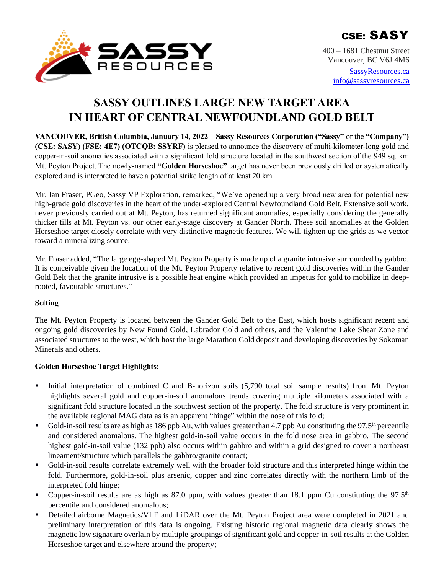

400 – 1681 Chestnut Street Vancouver, BC V6J 4M6

> [SassyResources.ca](http://www.sassyresources.ca/) [info@sassyresources.ca](mailto:info@sassyresources.ca)

# **SASSY OUTLINES LARGE NEW TARGET AREA IN HEART OF CENTRAL NEWFOUNDLAND GOLD BELT**

**VANCOUVER, British Columbia, January 14, 2022 – Sassy Resources Corporation ("Sassy"** or the **"Company") (CSE: SASY) (FSE: 4E7) (OTCQB: SSYRF)** is pleased to announce the discovery of multi-kilometer-long gold and copper-in-soil anomalies associated with a significant fold structure located in the southwest section of the 949 sq. km Mt. Peyton Project. The newly-named **"Golden Horseshoe"** target has never been previously drilled or systematically explored and is interpreted to have a potential strike length of at least 20 km.

Mr. Ian Fraser, PGeo, Sassy VP Exploration, remarked, "We've opened up a very broad new area for potential new high-grade gold discoveries in the heart of the under-explored Central Newfoundland Gold Belt. Extensive soil work, never previously carried out at Mt. Peyton, has returned significant anomalies, especially considering the generally thicker tills at Mt. Peyton vs. our other early-stage discovery at Gander North. These soil anomalies at the Golden Horseshoe target closely correlate with very distinctive magnetic features. We will tighten up the grids as we vector toward a mineralizing source.

Mr. Fraser added, "The large egg-shaped Mt. Peyton Property is made up of a granite intrusive surrounded by gabbro. It is conceivable given the location of the Mt. Peyton Property relative to recent gold discoveries within the Gander Gold Belt that the granite intrusive is a possible heat engine which provided an impetus for gold to mobilize in deeprooted, favourable structures."

# **Setting**

The Mt. Peyton Property is located between the Gander Gold Belt to the East, which hosts significant recent and ongoing gold discoveries by New Found Gold, Labrador Gold and others, and the Valentine Lake Shear Zone and associated structures to the west, which host the large Marathon Gold deposit and developing discoveries by Sokoman Minerals and others.

# **Golden Horseshoe Target Highlights:**

- Initial interpretation of combined C and B-horizon soils (5,790 total soil sample results) from Mt. Peyton highlights several gold and copper-in-soil anomalous trends covering multiple kilometers associated with a significant fold structure located in the southwest section of the property. The fold structure is very prominent in the available regional MAG data as is an apparent "hinge" within the nose of this fold;
- Gold-in-soil results are as high as 186 ppb Au, with values greater than 4.7 ppb Au constituting the 97.5<sup>th</sup> percentile and considered anomalous. The highest gold-in-soil value occurs in the fold nose area in gabbro. The second highest gold-in-soil value (132 ppb) also occurs within gabbro and within a grid designed to cover a northeast lineament/structure which parallels the gabbro/granite contact;
- Gold-in-soil results correlate extremely well with the broader fold structure and this interpreted hinge within the fold. Furthermore, gold-in-soil plus arsenic, copper and zinc correlates directly with the northern limb of the interpreted fold hinge;
- Copper-in-soil results are as high as 87.0 ppm, with values greater than 18.1 ppm Cu constituting the  $97.5<sup>th</sup>$ percentile and considered anomalous;
- Detailed airborne Magnetics/VLF and LiDAR over the Mt. Peyton Project area were completed in 2021 and preliminary interpretation of this data is ongoing. Existing historic regional magnetic data clearly shows the magnetic low signature overlain by multiple groupings of significant gold and copper-in-soil results at the Golden Horseshoe target and elsewhere around the property;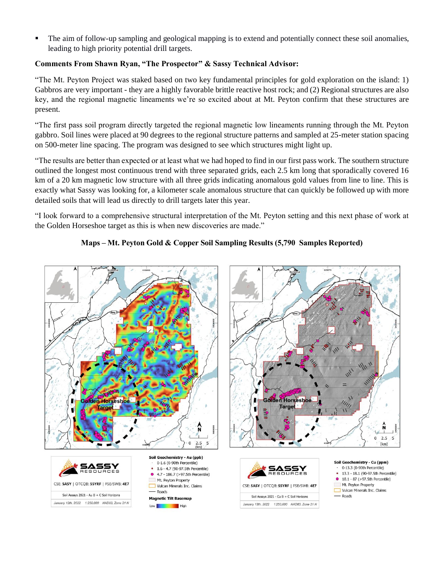▪ The aim of follow-up sampling and geological mapping is to extend and potentially connect these soil anomalies, leading to high priority potential drill targets.

# **Comments From Shawn Ryan, "The Prospector" & Sassy Technical Advisor:**

"The Mt. Peyton Project was staked based on two key fundamental principles for gold exploration on the island: 1) Gabbros are very important - they are a highly favorable brittle reactive host rock; and (2) Regional structures are also key, and the regional magnetic lineaments we're so excited about at Mt. Peyton confirm that these structures are present.

"The first pass soil program directly targeted the regional magnetic low lineaments running through the Mt. Peyton gabbro. Soil lines were placed at 90 degrees to the regional structure patterns and sampled at 25-meter station spacing on 500-meter line spacing. The program was designed to see which structures might light up.

"The results are better than expected or at least what we had hoped to find in our first pass work. The southern structure outlined the longest most continuous trend with three separated grids, each 2.5 km long that sporadically covered 16 km of a 20 km magnetic low structure with all three grids indicating anomalous gold values from line to line. This is exactly what Sassy was looking for, a kilometer scale anomalous structure that can quickly be followed up with more detailed soils that will lead us directly to drill targets later this year.

"I look forward to a comprehensive structural interpretation of the Mt. Peyton setting and this next phase of work at the Golden Horseshoe target as this is when new discoveries are made."

# **Maps – Mt. Peyton Gold & Copper Soil Sampling Results (5,790 Samples Reported)**

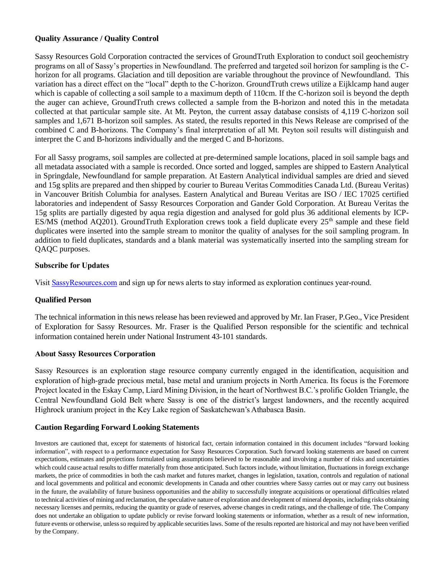# **Quality Assurance / Quality Control**

Sassy Resources Gold Corporation contracted the services of GroundTruth Exploration to conduct soil geochemistry programs on all of Sassy's properties in Newfoundland. The preferred and targeted soil horizon for sampling is the Chorizon for all programs. Glaciation and till deposition are variable throughout the province of Newfoundland. This variation has a direct effect on the "local" depth to the C-horizon. GroundTruth crews utilize a Eijklcamp hand auger which is capable of collecting a soil sample to a maximum depth of 110cm. If the C-horizon soil is beyond the depth the auger can achieve, GroundTruth crews collected a sample from the B-horizon and noted this in the metadata collected at that particular sample site. At Mt. Peyton, the current assay database consists of 4,119 C-horizon soil samples and 1,671 B-horizon soil samples. As stated, the results reported in this News Release are comprised of the combined C and B-horizons. The Company's final interpretation of all Mt. Peyton soil results will distinguish and interpret the C and B-horizons individually and the merged C and B-horizons.

For all Sassy programs, soil samples are collected at pre-determined sample locations, placed in soil sample bags and all metadata associated with a sample is recorded. Once sorted and logged, samples are shipped to Eastern Analytical in Springdale, Newfoundland for sample preparation. At Eastern Analytical individual samples are dried and sieved and 15g splits are prepared and then shipped by courier to Bureau Veritas Commodities Canada Ltd. (Bureau Veritas) in Vancouver British Columbia for analyses. Eastern Analytical and Bureau Veritas are ISO / IEC 17025 certified laboratories and independent of Sassy Resources Corporation and Gander Gold Corporation. At Bureau Veritas the 15g splits are partially digested by aqua regia digestion and analysed for gold plus 36 additional elements by ICP-ES/MS (method AQ201). GroundTruth Exploration crews took a field duplicate every 25<sup>th</sup> sample and these field duplicates were inserted into the sample stream to monitor the quality of analyses for the soil sampling program. In addition to field duplicates, standards and a blank material was systematically inserted into the sampling stream for QAQC purposes.

#### **Subscribe for Updates**

Visit [SassyResources.com](https://sassyresources.com/) and sign up for news alerts to stay informed as exploration continues year-round.

#### **Qualified Person**

The technical information in this news release has been reviewed and approved by Mr. Ian Fraser, P.Geo., Vice President of Exploration for Sassy Resources. Mr. Fraser is the Qualified Person responsible for the scientific and technical information contained herein under National Instrument 43-101 standards.

#### **About Sassy Resources Corporation**

Sassy Resources is an exploration stage resource company currently engaged in the identification, acquisition and exploration of high-grade precious metal, base metal and uranium projects in North America. Its focus is the Foremore Project located in the Eskay Camp, Liard Mining Division, in the heart of Northwest B.C.'s prolific Golden Triangle, the Central Newfoundland Gold Belt where Sassy is one of the district's largest landowners, and the recently acquired Highrock uranium project in the Key Lake region of Saskatchewan's Athabasca Basin.

#### **Caution Regarding Forward Looking Statements**

Investors are cautioned that, except for statements of historical fact, certain information contained in this document includes "forward looking information", with respect to a performance expectation for Sassy Resources Corporation. Such forward looking statements are based on current expectations, estimates and projections formulated using assumptions believed to be reasonable and involving a number of risks and uncertainties which could cause actual results to differ materially from those anticipated. Such factors include, without limitation, fluctuations in foreign exchange markets, the price of commodities in both the cash market and futures market, changes in legislation, taxation, controls and regulation of national and local governments and political and economic developments in Canada and other countries where Sassy carries out or may carry out business in the future, the availability of future business opportunities and the ability to successfully integrate acquisitions or operational difficulties related to technical activities of mining and reclamation, the speculative nature of exploration and development of mineral deposits, including risks obtaining necessary licenses and permits, reducing the quantity or grade of reserves, adverse changes in credit ratings, and the challenge of title. The Company does not undertake an obligation to update publicly or revise forward looking statements or information, whether as a result of new information, future events or otherwise, unless so required by applicable securities laws. Some of the results reported are historical and may not have been verified by the Company.